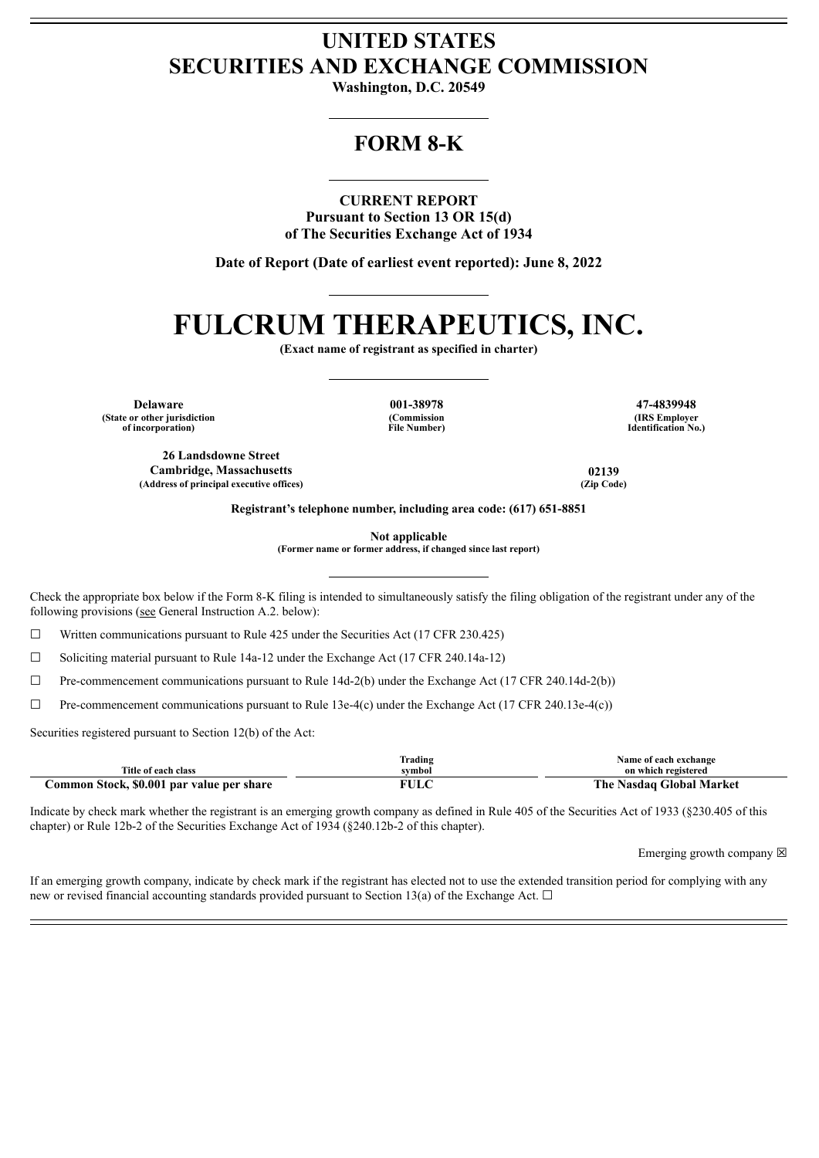## **UNITED STATES SECURITIES AND EXCHANGE COMMISSION**

**Washington, D.C. 20549**

## **FORM 8-K**

**CURRENT REPORT**

**Pursuant to Section 13 OR 15(d) of The Securities Exchange Act of 1934**

**Date of Report (Date of earliest event reported): June 8, 2022**

# **FULCRUM THERAPEUTICS, INC.**

**(Exact name of registrant as specified in charter)**

**Delaware 001-38978 47-4839948 (State or other jurisdiction of incorporation)**

**(Commission File Number)**

**(IRS Employer Identification No.)**

**26 Landsdowne Street Cambridge, Massachusetts 02139 (Address of principal executive offices) (Zip Code)**

**Registrant's telephone number, including area code: (617) 651-8851**

**Not applicable**

**(Former name or former address, if changed since last report)**

Check the appropriate box below if the Form 8-K filing is intended to simultaneously satisfy the filing obligation of the registrant under any of the following provisions (see General Instruction A.2. below):

 $\Box$  Written communications pursuant to Rule 425 under the Securities Act (17 CFR 230.425)

☐ Soliciting material pursuant to Rule 14a-12 under the Exchange Act (17 CFR 240.14a-12)

 $\Box$  Pre-commencement communications pursuant to Rule 14d-2(b) under the Exchange Act (17 CFR 240.14d-2(b))

 $\Box$  Pre-commencement communications pursuant to Rule 13e-4(c) under the Exchange Act (17 CFR 240.13e-4(c))

Securities registered pursuant to Section 12(b) of the Act:

|                                           | lrading      | Name of each exchange       |
|-------------------------------------------|--------------|-----------------------------|
| Title of each class                       | svmbol       | on which registered         |
| Common Stock, \$0.001 par value per share | 7T I T<br>பட | Nasdag Global Market<br>The |

Indicate by check mark whether the registrant is an emerging growth company as defined in Rule 405 of the Securities Act of 1933 (§230.405 of this chapter) or Rule 12b-2 of the Securities Exchange Act of 1934 (§240.12b-2 of this chapter).

Emerging growth company  $\boxtimes$ 

If an emerging growth company, indicate by check mark if the registrant has elected not to use the extended transition period for complying with any new or revised financial accounting standards provided pursuant to Section 13(a) of the Exchange Act.  $\Box$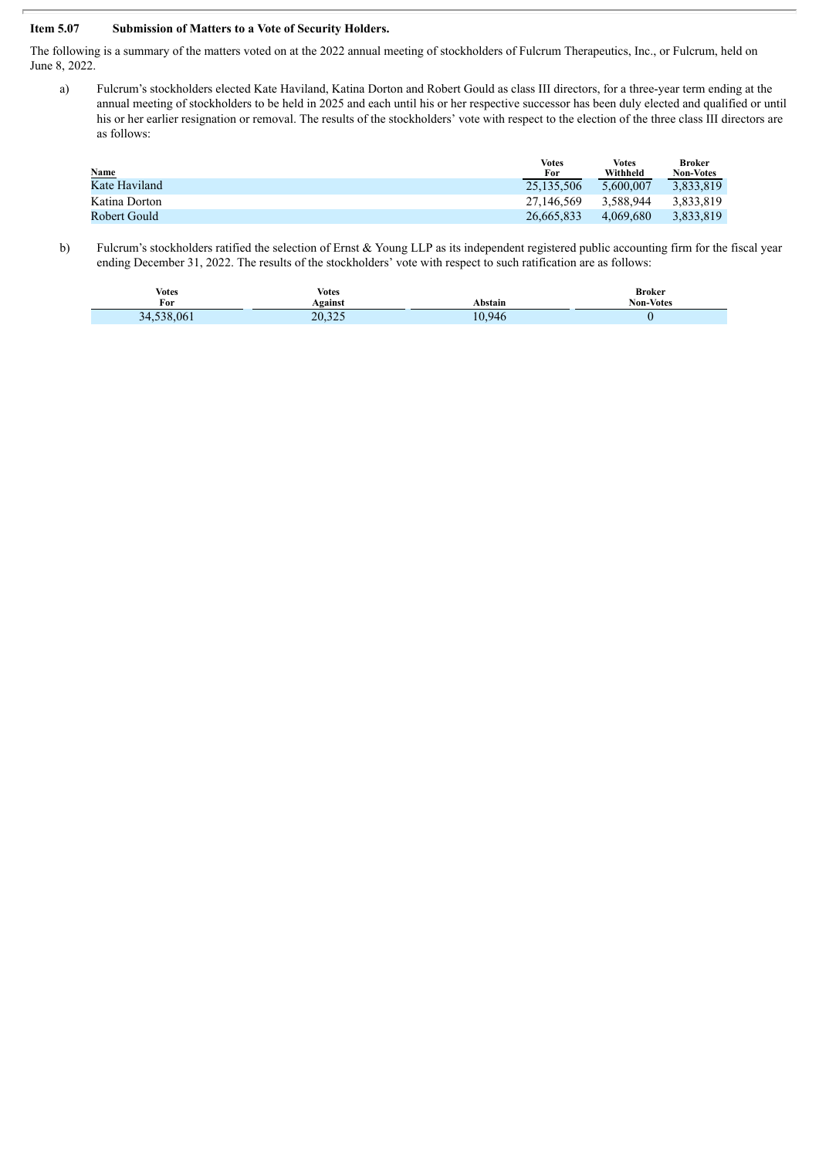#### **Item 5.07 Submission of Matters to a Vote of Security Holders.**

The following is a summary of the matters voted on at the 2022 annual meeting of stockholders of Fulcrum Therapeutics, Inc., or Fulcrum, held on June 8, 2022.

a) Fulcrum's stockholders elected Kate Haviland, Katina Dorton and Robert Gould as class III directors, for a three-year term ending at the annual meeting of stockholders to be held in 2025 and each until his or her respective successor has been duly elected and qualified or until his or her earlier resignation or removal. The results of the stockholders' vote with respect to the election of the three class III directors are as follows:

|               | <b>Votes</b> | <b>Votes</b> | Broker           |
|---------------|--------------|--------------|------------------|
| <b>Name</b>   | For          | Withheld     | <b>Non-Votes</b> |
| Kate Haviland | 25.135.506   | 5.600.007    | 3.833.819        |
| Katina Dorton | 27.146.569   | 3.588.944    | 3.833.819        |
| Robert Gould  | 26.665.833   | 4.069.680    | 3.833.819        |

b) Fulcrum's stockholders ratified the selection of Ernst & Young LLP as its independent registered public accounting firm for the fiscal year ending December 31, 2022. The results of the stockholders' vote with respect to such ratification are as follows:

| <b>Votes</b>            | Votes   | Abstain | <b>Broker</b>    |
|-------------------------|---------|---------|------------------|
| For                     | Against |         | <b>Non-Votes</b> |
| .061<br>34<br>$\lambda$ | 20.325  | 10.946  |                  |